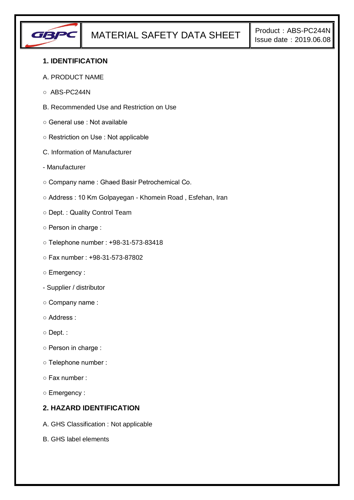

### **1. IDENTIFICATION**

- A. PRODUCT NAME
- ABS-PC244N
- B. Recommended Use and Restriction on Use
- General use : Not available
- Restriction on Use : Not applicable
- C. Information of Manufacturer
- Manufacturer
- Company name : Ghaed Basir Petrochemical Co.
- Address : 10 Km Golpayegan Khomein Road , Esfehan, Iran
- Dept. : Quality Control Team
- Person in charge :
- Telephone number : +98-31-573-83418
- Fax number : +98-31-573-87802
- Emergency :
- Supplier / distributor
- Company name :
- Address :
- Dept. :
- Person in charge :
- Telephone number :
- Fax number :
- Emergency :

# **2. HAZARD IDENTIFICATION**

- A. GHS Classification : Not applicable
- B. GHS label elements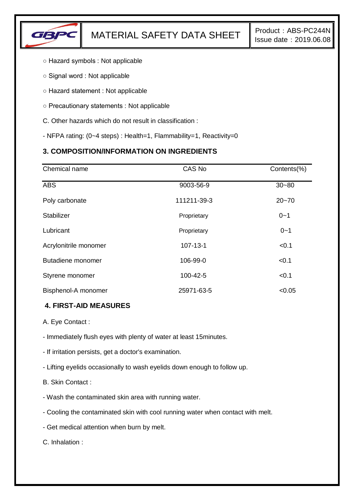

- Hazard symbols : Not applicable
- Signal word : Not applicable
- Hazard statement : Not applicable
- Precautionary statements : Not applicable
- C. Other hazards which do not result in classification :
- NFPA rating: (0~4 steps) : Health=1, Flammability=1, Reactivity=0

# **3. COMPOSITION/INFORMATION ON INGREDIENTS**

| Chemical name         | CAS No         | Contents(%) |
|-----------------------|----------------|-------------|
| <b>ABS</b>            | 9003-56-9      | $30 - 80$   |
| Poly carbonate        | 111211-39-3    | $20 - 70$   |
| <b>Stabilizer</b>     | Proprietary    | $0 - 1$     |
| Lubricant             | Proprietary    | $0 - 1$     |
| Acrylonitrile monomer | $107 - 13 - 1$ | < 0.1       |
| Butadiene monomer     | 106-99-0       | < 0.1       |
| Styrene monomer       | 100-42-5       | < 0.1       |
| Bisphenol-A monomer   | 25971-63-5     | < 0.05      |

### **4. FIRST-AID MEASURES**

- A. Eye Contact :
- Immediately flush eyes with plenty of water at least 15minutes.
- If irritation persists, get a doctor's examination.
- Lifting eyelids occasionally to wash eyelids down enough to follow up.
- B. Skin Contact :
- Wash the contaminated skin area with running water.
- Cooling the contaminated skin with cool running water when contact with melt.
- Get medical attention when burn by melt.

C. Inhalation :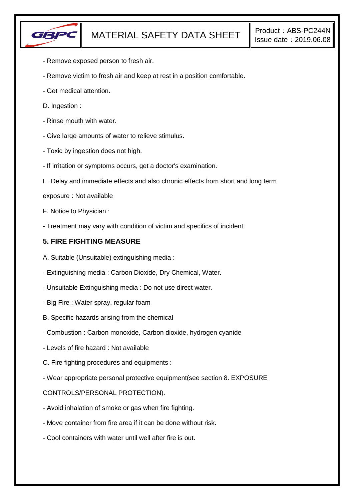

- Remove exposed person to fresh air.
- Remove victim to fresh air and keep at rest in a position comfortable.
- Get medical attention.
- D. Ingestion :
- Rinse mouth with water.
- Give large amounts of water to relieve stimulus.
- Toxic by ingestion does not high.
- If irritation or symptoms occurs, get a doctor's examination.
- E. Delay and immediate effects and also chronic effects from short and long term
- exposure : Not available
- F. Notice to Physician :
- Treatment may vary with condition of victim and specifics of incident.

## **5. FIRE FIGHTING MEASURE**

- A. Suitable (Unsuitable) extinguishing media :
- Extinguishing media : Carbon Dioxide, Dry Chemical, Water.
- Unsuitable Extinguishing media : Do not use direct water.
- Big Fire : Water spray, regular foam
- B. Specific hazards arising from the chemical
- Combustion : Carbon monoxide, Carbon dioxide, hydrogen cyanide
- Levels of fire hazard : Not available
- C. Fire fighting procedures and equipments :
- Wear appropriate personal protective equipment(see section 8. EXPOSURE

### CONTROLS/PERSONAL PROTECTION).

- Avoid inhalation of smoke or gas when fire fighting.
- Move container from fire area if it can be done without risk.
- Cool containers with water until well after fire is out.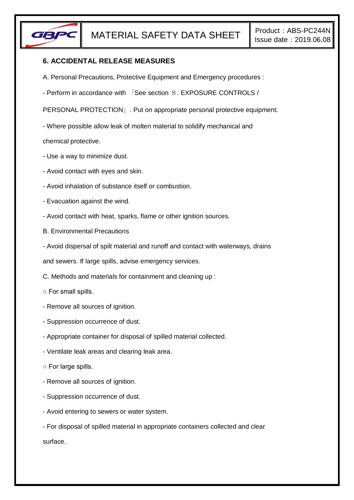

### **6. ACCIDENTAL RELEASE MEASURES**

- A. Personal Precautions, Protective Equipment and Emergency procedures :
- Perform in accordance with 「See section 8. EXPOSURE CONTROLS /

PERSONAL PROTECTION」. Put on appropriate personal protective equipment.

- Where possible allow leak of molten material to solidify mechanical and

chemical protective.

- Use a way to minimize dust.
- Avoid contact with eyes and skin.
- Avoid inhalation of substance itself or combustion.
- Evacuation against the wind.
- Avoid contact with heat, sparks, flame or other ignition sources.
- B. Environmental Precautions
- Avoid dispersal of spilt material and runoff and contact with waterways, drains

and sewers. If large spills, advise emergency services.

- C. Methods and materials for containment and cleaning up :
- For small spills.
- Remove all sources of ignition.
- Suppression occurrence of dust.
- Appropriate container for disposal of spilled material collected.
- Ventilate leak areas and clearing leak area.
- For large spills.
- Remove all sources of ignition.
- Suppression occurrence of dust.
- Avoid entering to sewers or water system.

- For disposal of spilled material in appropriate containers collected and clear surface.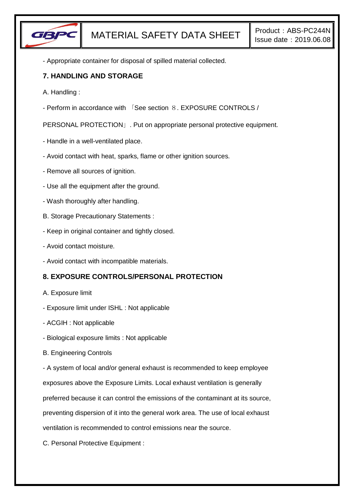

- Appropriate container for disposal of spilled material collected.

### **7. HANDLING AND STORAGE**

- A. Handling :
- Perform in accordance with 「See section 8. EXPOSURE CONTROLS /

PERSONAL PROTECTION」. Put on appropriate personal protective equipment.

- Handle in a well-ventilated place.
- Avoid contact with heat, sparks, flame or other ignition sources.
- Remove all sources of ignition.
- Use all the equipment after the ground.
- Wash thoroughly after handling.
- B. Storage Precautionary Statements :
- Keep in original container and tightly closed.
- Avoid contact moisture.
- Avoid contact with incompatible materials.

# **8. EXPOSURE CONTROLS/PERSONAL PROTECTION**

- A. Exposure limit
- Exposure limit under ISHL : Not applicable
- ACGIH : Not applicable
- Biological exposure limits : Not applicable
- B. Engineering Controls

- A system of local and/or general exhaust is recommended to keep employee exposures above the Exposure Limits. Local exhaust ventilation is generally preferred because it can control the emissions of the contaminant at its source, preventing dispersion of it into the general work area. The use of local exhaust

ventilation is recommended to control emissions near the source.

C. Personal Protective Equipment :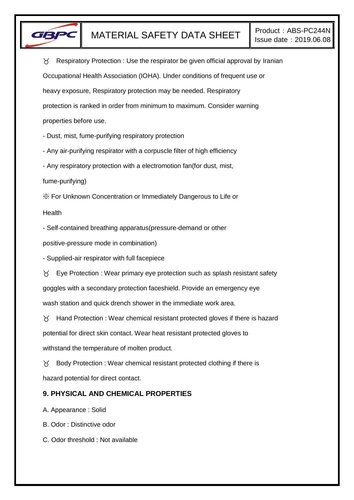

 $\gamma$  Respiratory Protection : Use the respirator be given official approval by Iranian Occupational Health Association (IOHA). Under conditions of frequent use or heavy exposure, Respiratory protection may be needed. Respiratory protection is ranked in order from minimum to maximum. Consider warning properties before use.

- Dust, mist, fume-purifying respiratory protection

- Any air-purifying respirator with a corpuscle filter of high efficiency

- Any respiratory protection with a electromotion fan(for dust, mist,

fume-purifying)

※ For Unknown Concentration or Immediately Dangerous to Life or

Health

- Self-contained breathing apparatus(pressure-demand or other

positive-pressure mode in combination)

- Supplied-air respirator with full facepiece

 $\gamma$  Eye Protection : Wear primary eye protection such as splash resistant safety goggles with a secondary protection faceshield. Provide an emergency eye wash station and quick drench shower in the immediate work area.

 $\gamma$  Hand Protection : Wear chemical resistant protected gloves if there is hazard potential for direct skin contact. Wear heat resistant protected gloves to withstand the temperature of molten product.

 $\gamma$  Body Protection : Wear chemical resistant protected clothing if there is hazard potential for direct contact.

# **9. PHYSICAL AND CHEMICAL PROPERTIES**

A. Appearance : Solid

B. Odor : Distinctive odor

C. Odor threshold : Not available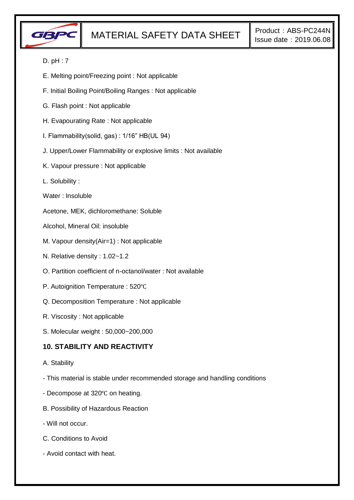

### D. pH : 7

- E. Melting point/Freezing point : Not applicable
- F. Initial Boiling Point/Boiling Ranges : Not applicable
- G. Flash point : Not applicable
- H. Evapourating Rate : Not applicable
- I. Flammability(solid, gas) : 1/16" HB(UL 94)
- J. Upper/Lower Flammability or explosive limits : Not available
- K. Vapour pressure : Not applicable
- L. Solubility :
- Water : Insoluble
- Acetone, MEK, dichloromethane: Soluble
- Alcohol, Mineral Oil: insoluble
- M. Vapour density(Air=1) : Not applicable
- N. Relative density : 1.02~1.2
- O. Partition coefficient of n-octanol/water : Not available
- P. Autoignition Temperature : 520℃
- Q. Decomposition Temperature : Not applicable
- R. Viscosity : Not applicable
- S. Molecular weight : 50,000~200,000

### **10. STABILITY AND REACTIVITY**

- A. Stability
- This material is stable under recommended storage and handling conditions
- Decompose at 320℃ on heating.
- B. Possibility of Hazardous Reaction
- Will not occur.
- C. Conditions to Avoid
- Avoid contact with heat.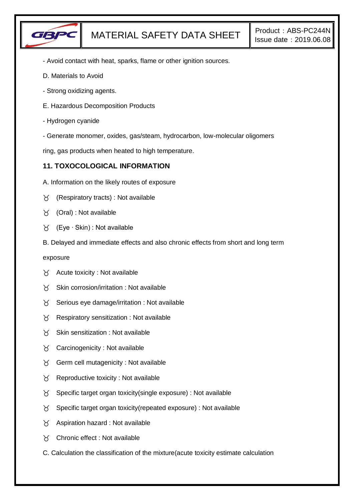

- Avoid contact with heat, sparks, flame or other ignition sources.
- D. Materials to Avoid
- Strong oxidizing agents.
- E. Hazardous Decomposition Products
- Hydrogen cyanide
- Generate monomer, oxides, gas/steam, hydrocarbon, low-molecular oligomers

ring, gas products when heated to high temperature.

## **11. TOXOCOLOGICAL INFORMATION**

- A. Information on the likely routes of exposure
- $\gamma$  (Respiratory tracts) : Not available
- (Oral) : Not available
- (Eye ∙ Skin) : Not available
- B. Delayed and immediate effects and also chronic effects from short and long term

exposure

- $\chi$  Acute toxicity : Not available
- $X$  Skin corrosion/irritation : Not available
- $\chi$  Serious eye damage/irritation : Not available
- $\gamma$  Respiratory sensitization : Not available
- $\gamma$  Skin sensitization : Not available
- $\gamma$  Carcinogenicity : Not available
- $\gamma$  Germ cell mutagenicity : Not available
- $\gamma$  Reproductive toxicity : Not available
- $\gamma$  Specific target organ toxicity(single exposure) : Not available
- $\gamma$  Specific target organ toxicity(repeated exposure) : Not available
- $\chi$  Aspiration hazard : Not available
- Chronic effect : Not available
- C. Calculation the classification of the mixture(acute toxicity estimate calculation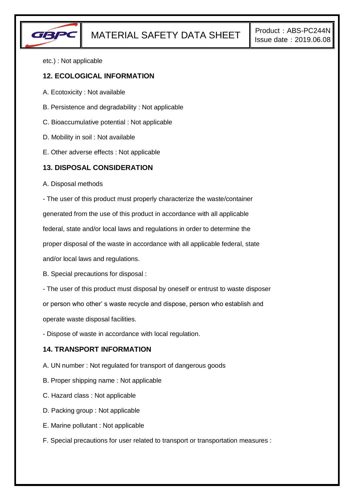

etc.) : Not applicable

#### **12. ECOLOGICAL INFORMATION**

- A. Ecotoxicity : Not available
- B. Persistence and degradability : Not applicable
- C. Bioaccumulative potential : Not applicable
- D. Mobility in soil : Not available
- E. Other adverse effects : Not applicable

### **13. DISPOSAL CONSIDERATION**

A. Disposal methods

- The user of this product must properly characterize the waste/container

generated from the use of this product in accordance with all applicable

federal, state and/or local laws and regulations in order to determine the

proper disposal of the waste in accordance with all applicable federal, state

and/or local laws and regulations.

B. Special precautions for disposal :

- The user of this product must disposal by oneself or entrust to waste disposer

or person who other' s waste recycle and dispose, person who establish and

operate waste disposal facilities.

- Dispose of waste in accordance with local regulation.

### **14. TRANSPORT INFORMATION**

- A. UN number : Not regulated for transport of dangerous goods
- B. Proper shipping name : Not applicable
- C. Hazard class : Not applicable
- D. Packing group : Not applicable
- E. Marine pollutant : Not applicable
- F. Special precautions for user related to transport or transportation measures :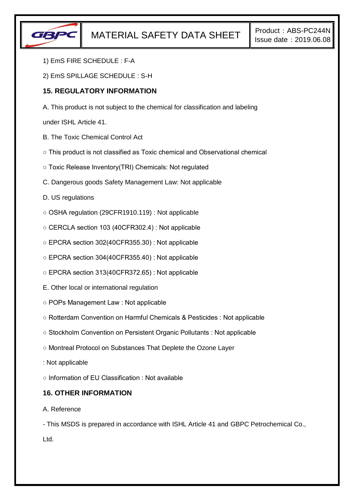

- 1) EmS FIRE SCHEDULE : F-A
- 2) EmS SPILLAGE SCHEDULE : S-H

## **15. REGULATORY INFORMATION**

A. This product is not subject to the chemical for classification and labeling

under ISHL Article 41.

- B. The Toxic Chemical Control Act
- This product is not classified as Toxic chemical and Observational chemical
- Toxic Release Inventory(TRI) Chemicals: Not regulated
- C. Dangerous goods Safety Management Law: Not applicable
- D. US regulations
- OSHA regulation (29CFR1910.119) : Not applicable
- CERCLA section 103 (40CFR302.4) : Not applicable
- EPCRA section 302(40CFR355.30) : Not applicable
- EPCRA section 304(40CFR355.40) : Not applicable
- EPCRA section 313(40CFR372.65) : Not applicable
- E. Other local or international regulation
- POPs Management Law : Not applicable
- Rotterdam Convention on Harmful Chemicals & Pesticides : Not applicable
- Stockholm Convention on Persistent Organic Pollutants : Not applicable
- Montreal Protocol on Substances That Deplete the Ozone Layer
- : Not applicable
- Information of EU Classification : Not available

### **16. OTHER INFORMATION**

A. Reference

- This MSDS is prepared in accordance with ISHL Article 41 and GBPC Petrochemical Co., Ltd.